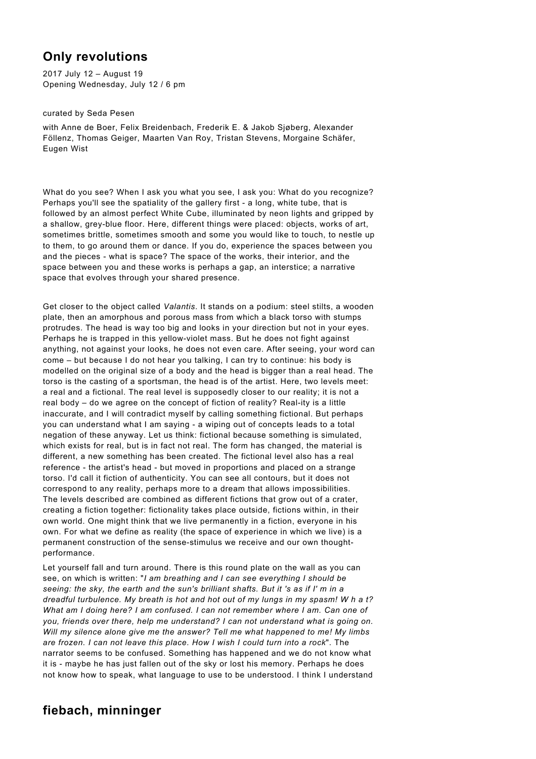## **Only revolutions**

2017 July 12 – August 19 Opening Wednesday, July 12 / 6 pm

curated by Seda Pesen

with Anne de Boer, Felix Breidenbach, Frederik E. & Jakob Sjøberg, Alexander Föllenz, Thomas Geiger, Maarten Van Roy, Tristan Stevens, Morgaine Schäfer, Eugen Wist

What do you see? When I ask you what you see, I ask you: What do you recognize? Perhaps you'll see the spatiality of the gallery first - a long, white tube, that is followed by an almost perfect White Cube, illuminated by neon lights and gripped by a shallow, grey-blue floor. Here, different things were placed: objects, works of art, sometimes brittle, sometimes smooth and some you would like to touch, to nestle up to them, to go around them or dance. If you do, experience the spaces between you and the pieces - what is space? The space of the works, their interior, and the space between you and these works is perhaps a gap, an interstice; a narrative space that evolves through your shared presence.

Get closer to the object called *Valantis*. It stands on a podium: steel stilts, a wooden plate, then an amorphous and porous mass from which a black torso with stumps protrudes. The head is way too big and looks in your direction but not in your eyes. Perhaps he is trapped in this yellow-violet mass. But he does not fight against anything, not against your looks, he does not even care. After seeing, your word can come – but because I do not hear you talking, I can try to continue: his body is modelled on the original size of a body and the head is bigger than a real head. The torso is the casting of a sportsman, the head is of the artist. Here, two levels meet: a real and a fictional. The real level is supposedly closer to our reality; it is not a real body – do we agree on the concept of fiction of reality? Real-ity is a little inaccurate, and I will contradict myself by calling something fictional. But perhaps you can understand what I am saying - a wiping out of concepts leads to a total negation of these anyway. Let us think: fictional because something is simulated, which exists for real, but is in fact not real. The form has changed, the material is different, a new something has been created. The fictional level also has a real reference - the artist's head - but moved in proportions and placed on a strange torso. I'd call it fiction of authenticity. You can see all contours, but it does not correspond to any reality, perhaps more to a dream that allows impossibilities. The levels described are combined as different fictions that grow out of a crater, creating a fiction together: fictionality takes place outside, fictions within, in their own world. One might think that we live permanently in a fiction, everyone in his own. For what we define as reality (the space of experience in which we live) is a permanent construction of the sense-stimulus we receive and our own thoughtperformance.

Let yourself fall and turn around. There is this round plate on the wall as you can see, on which is written: "*I am breathing and I can see everything I should be seeing: the sky, the earth and the sun's brilliant shafts. But it 's as if I' m in a dreadful turbulence. My breath is hot and hot out of my lungs in my spasm! W h a t? What am I doing here? I am confused. I can not remember where I am. Can one of you, friends over there, help me understand? I can not understand what is going on. Will my silence alone give me the answer? Tell me what happened to me! My limbs are frozen. I can not leave this place. How I wish I could turn into a rock*". The narrator seems to be confused. Something has happened and we do not know what it is - maybe he has just fallen out of the sky or lost his memory. Perhaps he does not know how to speak, what language to use to be understood. I think I understand

## **fiebach, minninger**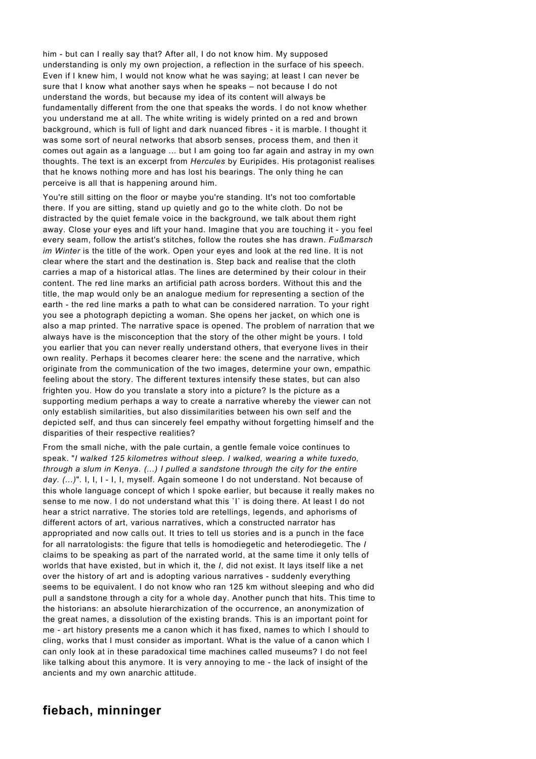him - but can I really say that? After all, I do not know him. My supposed understanding is only my own projection, a reflection in the surface of his speech. Even if I knew him, I would not know what he was saying; at least I can never be sure that I know what another says when he speaks – not because I do not understand the words, but because my idea of its content will always be fundamentally different from the one that speaks the words. I do not know whether you understand me at all. The white writing is widely printed on a red and brown background, which is full of light and dark nuanced fibres - it is marble. I thought it was some sort of neural networks that absorb senses, process them, and then it comes out again as a language ... but I am going too far again and astray in my own thoughts. The text is an excerpt from *Hercules* by Euripides. His protagonist realises that he knows nothing more and has lost his bearings. The only thing he can perceive is all that is happening around him.

You're still sitting on the floor or maybe you're standing. It's not too comfortable there. If you are sitting, stand up quietly and go to the white cloth. Do not be distracted by the quiet female voice in the background, we talk about them right away. Close your eyes and lift your hand. Imagine that you are touching it - you feel every seam, follow the artist's stitches, follow the routes she has drawn. *Fußmarsch im Winter* is the title of the work. Open your eyes and look at the red line. It is not clear where the start and the destination is. Step back and realise that the cloth carries a map of a historical atlas. The lines are determined by their colour in their content. The red line marks an artificial path across borders. Without this and the title, the map would only be an analogue medium for representing a section of the earth - the red line marks a path to what can be considered narration. To your right you see a photograph depicting a woman. She opens her jacket, on which one is also a map printed. The narrative space is opened. The problem of narration that we always have is the misconception that the story of the other might be yours. I told you earlier that you can never really understand others, that everyone lives in their own reality. Perhaps it becomes clearer here: the scene and the narrative, which originate from the communication of the two images, determine your own, empathic feeling about the story. The different textures intensify these states, but can also frighten you. How do you translate a story into a picture? Is the picture as a supporting medium perhaps a way to create a narrative whereby the viewer can not only establish similarities, but also dissimilarities between his own self and the depicted self, and thus can sincerely feel empathy without forgetting himself and the disparities of their respective realities?

From the small niche, with the pale curtain, a gentle female voice continues to speak. "*I walked 125 kilometres without sleep. I walked, wearing a white tuxedo, through a slum in Kenya. (...) I pulled a sandstone through the city for the entire day. (...)*". I, I, I - I, I, myself. Again someone I do not understand. Not because of this whole language concept of which I spoke earlier, but because it really makes no sense to me now. I do not understand what this `I` is doing there. At least I do not hear a strict narrative. The stories told are retellings, legends, and aphorisms of different actors of art, various narratives, which a constructed narrator has appropriated and now calls out. It tries to tell us stories and is a punch in the face for all narratologists: the figure that tells is homodiegetic and heterodiegetic. The *I* claims to be speaking as part of the narrated world, at the same time it only tells of worlds that have existed, but in which it, the *I*, did not exist. It lays itself like a net over the history of art and is adopting various narratives - suddenly everything seems to be equivalent. I do not know who ran 125 km without sleeping and who did pull a sandstone through a city for a whole day. Another punch that hits. This time to the historians: an absolute hierarchization of the occurrence, an anonymization of the great names, a dissolution of the existing brands. This is an important point for me - art history presents me a canon which it has fixed, names to which I should to cling, works that I must consider as important. What is the value of a canon which I can only look at in these paradoxical time machines called museums? I do not feel like talking about this anymore. It is very annoying to me - the lack of insight of the ancients and my own anarchic attitude.

## **fiebach, minninger**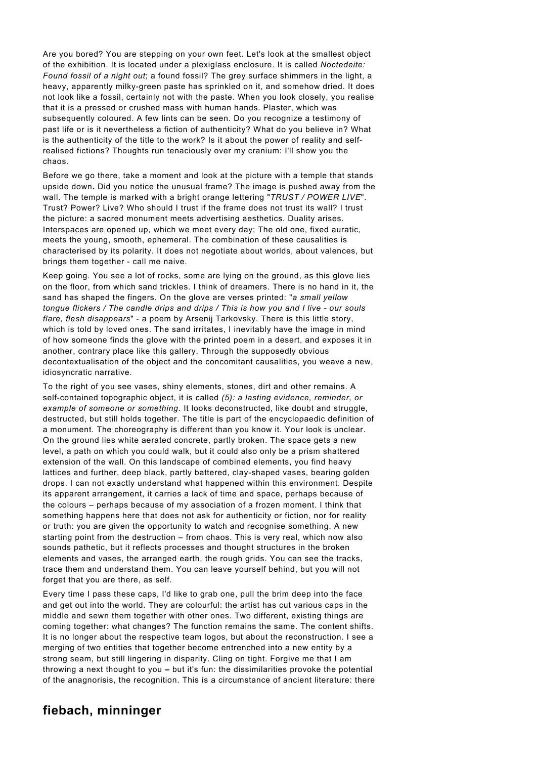Are you bored? You are stepping on your own feet. Let's look at the smallest object of the exhibition. It is located under a plexiglass enclosure. It is called *Noctedeite: Found fossil of a night out*; a found fossil? The grey surface shimmers in the light, a heavy, apparently milky-green paste has sprinkled on it, and somehow dried. It does not look like a fossil, certainly not with the paste. When you look closely, you realise that it is a pressed or crushed mass with human hands. Plaster, which was subsequently coloured. A few lints can be seen. Do you recognize a testimony of past life or is it nevertheless a fiction of authenticity? What do you believe in? What is the authenticity of the title to the work? Is it about the power of reality and selfrealised fictions? Thoughts run tenaciously over my cranium: I'll show you the chaos.

Before we go there, take a moment and look at the picture with a temple that stands upside down**.** Did you notice the unusual frame? The image is pushed away from the wall. The temple is marked with a bright orange lettering "*TRUST / POWER LIVE*". Trust? Power? Live? Who should I trust if the frame does not trust its wall? I trust the picture: a sacred monument meets advertising aesthetics. Duality arises. Interspaces are opened up, which we meet every day; The old one, fixed auratic, meets the young, smooth, ephemeral. The combination of these causalities is characterised by its polarity. It does not negotiate about worlds, about valences, but brings them together - call me naive.

Keep going. You see a lot of rocks, some are lying on the ground, as this glove lies on the floor, from which sand trickles. I think of dreamers. There is no hand in it, the sand has shaped the fingers. On the glove are verses printed: "*a small yellow tongue flickers / The candle drips and drips / This is how you and I live - our souls flare, flesh disappears*" - a poem by Arsenij Tarkovsky. There is this little story, which is told by loved ones. The sand irritates, I inevitably have the image in mind of how someone finds the glove with the printed poem in a desert, and exposes it in another, contrary place like this gallery. Through the supposedly obvious decontextualisation of the object and the concomitant causalities, you weave a new, idiosyncratic narrative.

To the right of you see vases, shiny elements, stones, dirt and other remains. A self-contained topographic object, it is called *(5): a lasting evidence, reminder, or example of someone or something*. It looks deconstructed, like doubt and struggle, destructed, but still holds together. The title is part of the encyclopaedic definition of a monument. The choreography is different than you know it. Your look is unclear. On the ground lies white aerated concrete, partly broken. The space gets a new level, a path on which you could walk, but it could also only be a prism shattered extension of the wall. On this landscape of combined elements, you find heavy lattices and further, deep black, partly battered, clay-shaped vases, bearing golden drops. I can not exactly understand what happened within this environment. Despite its apparent arrangement, it carries a lack of time and space, perhaps because of the colours – perhaps because of my association of a frozen moment. I think that something happens here that does not ask for authenticity or fiction, nor for reality or truth: you are given the opportunity to watch and recognise something. A new starting point from the destruction – from chaos. This is very real, which now also sounds pathetic, but it reflects processes and thought structures in the broken elements and vases, the arranged earth, the rough grids. You can see the tracks, trace them and understand them. You can leave yourself behind, but you will not forget that you are there, as self.

Every time I pass these caps, I'd like to grab one, pull the brim deep into the face and get out into the world. They are colourful: the artist has cut various caps in the middle and sewn them together with other ones. Two different, existing things are coming together: what changes? The function remains the same. The content shifts. It is no longer about the respective team logos, but about the reconstruction. I see a merging of two entities that together become entrenched into a new entity by a strong seam, but still lingering in disparity. Cling on tight. Forgive me that I am throwing a next thought to you **–** but it's fun: the dissimilarities provoke the potential of the anagnorisis, the recognition. This is a circumstance of ancient literature: there

## **fiebach, minninger**